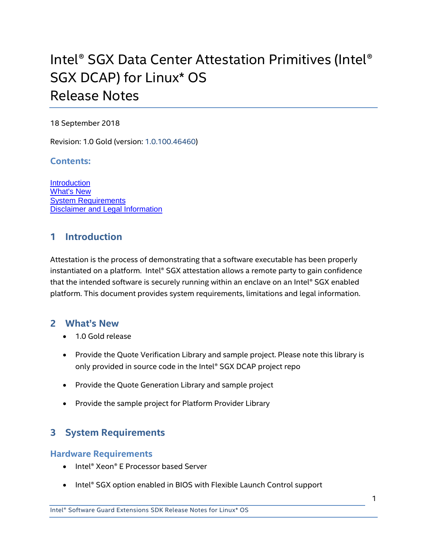# Intel® SGX Data Center Attestation Primitives (Intel® SGX DCAP) for Linux\* OS Release Notes

#### 18 September 2018

Revision: 1.0 Gold (version: 1.0.100.46460)

#### **Contents:**

**[Introduction](#page-0-0)** [What's New](#page-0-1) [System Requirements](#page-0-2) [Disclaimer and Legal Information](#page-1-0)

# <span id="page-0-0"></span>**1 Introduction**

Attestation is the process of demonstrating that a software executable has been properly instantiated on a platform. Intel® SGX attestation allows a remote party to gain confidence that the intended software is securely running within an enclave on an Intel® SGX enabled platform. This document provides system requirements, limitations and legal information.

## <span id="page-0-1"></span>**2 What's New**

- 1.0 Gold release
- Provide the Quote Verification Library and sample project. Please note this library is only provided in source code in the Intel® SGX DCAP project repo
- Provide the Quote Generation Library and sample project
- Provide the sample project for Platform Provider Library

# <span id="page-0-2"></span>**3 System Requirements**

## **Hardware Requirements**

- Intel® Xeon® E Processor based Server
- Intel® SGX option enabled in BIOS with Flexible Launch Control support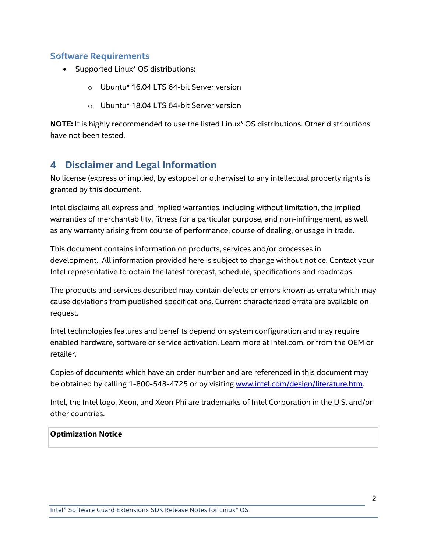## **Software Requirements**

- Supported Linux\* OS distributions:
	- o Ubuntu\* 16.04 LTS 64-bit Server version
	- o Ubuntu\* 18.04 LTS 64-bit Server version

**NOTE:** It is highly recommended to use the listed Linux\* OS distributions. Other distributions have not been tested.

# <span id="page-1-0"></span>**4 Disclaimer and Legal Information**

No license (express or implied, by estoppel or otherwise) to any intellectual property rights is granted by this document.

Intel disclaims all express and implied warranties, including without limitation, the implied warranties of merchantability, fitness for a particular purpose, and non-infringement, as well as any warranty arising from course of performance, course of dealing, or usage in trade.

This document contains information on products, services and/or processes in development. All information provided here is subject to change without notice. Contact your Intel representative to obtain the latest forecast, schedule, specifications and roadmaps.

The products and services described may contain defects or errors known as errata which may cause deviations from published specifications. Current characterized errata are available on request.

Intel technologies features and benefits depend on system configuration and may require enabled hardware, software or service activation. Learn more at Intel.com, or from the OEM or retailer.

Copies of documents which have an order number and are referenced in this document may be obtained by calling 1-800-548-4725 or by visiting [www.intel.com/design/literature.htm.](http://www.intel.com/design/literature.htm)

Intel, the Intel logo, Xeon, and Xeon Phi are trademarks of Intel Corporation in the U.S. and/or other countries.

#### **Optimization Notice**